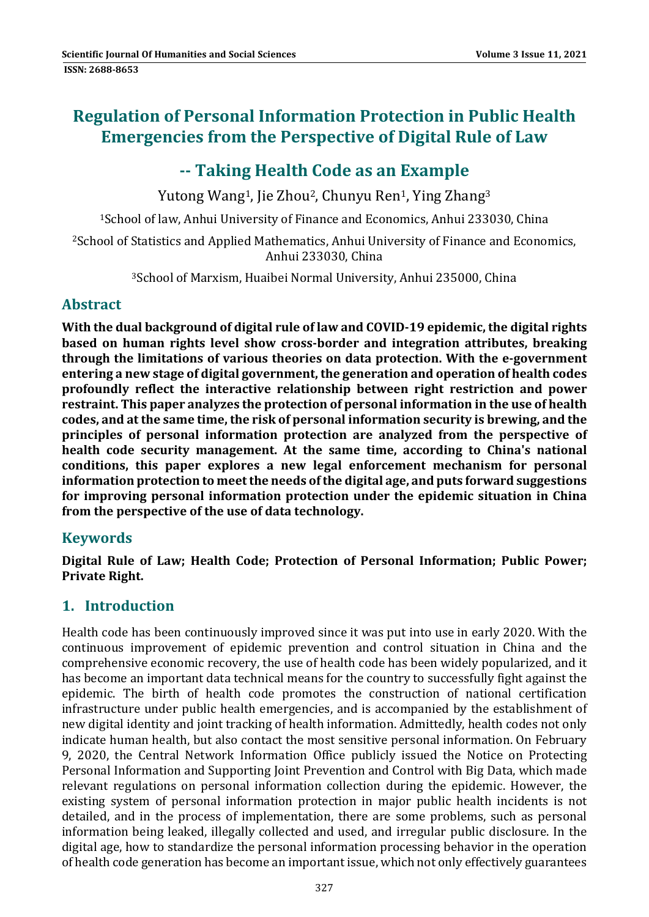# **Regulation of Personal Information Protection in Public Health Emergencies from the Perspective of Digital Rule of Law**

# **‐‐ Taking Health Code as an Example**

Yutong Wang<sup>1</sup>, Jie Zhou<sup>2</sup>, Chunyu Ren<sup>1</sup>, Ying Zhang<sup>3</sup>

<sup>1</sup>School of law, Anhui University of Finance and Economics, Anhui 233030, China

<sup>2</sup>School of Statistics and Applied Mathematics, Anhui University of Finance and Economics, Anhui 233030, China

<sup>3</sup>School of Marxism, Huaibei Normal University, Anhui 235000, China

### **Abstract**

**With the dual background of digital rule of law and COVID‐19 epidemic, the digital rights based on human rights level show cross‐border and integration attributes, breaking through the limitations of various theories on data protection. With the e‐government entering a new stage of digital government, the generation and operation of health codes profoundly reflect the interactive relationship between right restriction and power restraint. This paper analyzes the protection of personal information in the use of health codes, and at the same time, the risk of personal information security is brewing, and the principles of personal information protection are analyzed from the perspective of health code security management. At the same time, according to China's national conditions, this paper explores a new legal enforcement mechanism for personal information protection to meetthe needs ofthe digital age, and puts forward suggestions for improving personal information protection under the epidemic situation in China from the perspective of the use of data technology.**

# **Keywords**

**Digital Rule of Law; Health Code; Protection of Personal Information; Public Power; Private Right.**

# **1. Introduction**

Health code has been continuously improved since it was put into use in early 2020. With the continuous improvement of epidemic prevention and control situation in China and the comprehensive economic recovery, the use of health code has been widely popularized, and it has become an important data technical means for the country to successfully fight against the epidemic. The birth of health code promotes the construction of national certification infrastructure under public health emergencies, and is accompanied by the establishment of new digital identity and joint tracking of health information. Admittedly, health codes not only indicate human health, but also contact the most sensitive personal information. On February 9, 2020, the Central Network Information Office publicly issued the Notice on Protecting Personal Information and Supporting Joint Prevention and Control with Big Data, which made relevant regulations on personal information collection during the epidemic. However, the existing system of personal information protection in major public health incidents is not detailed, and in the process of implementation, there are some problems, such as personal information being leaked, illegally collected and used, and irregular public disclosure. In the digital age, how to standardize the personal information processing behavior in the operation of health code generation has become an important issue, which not only effectively guarantees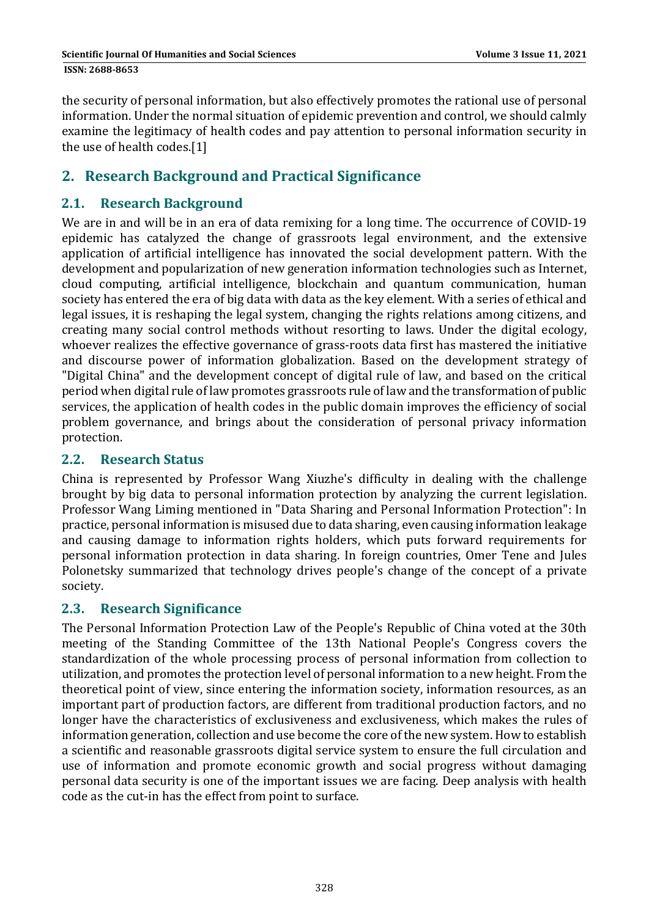the security of personal information, but also effectively promotes the rational use of personal information. Under the normal situation of epidemic prevention and control, we should calmly examine the legitimacy of health codes and pay attention to personal information security in the use of health codes.[1]

## **2. Research Background and Practical Significance**

### **2.1. Research Background**

We are in and will be in an era of data remixing for a long time. The occurrence of COVID-19 epidemic has catalyzed the change of grassroots legal environment, and the extensive application of artificial intelligence has innovated the social development pattern. With the development and popularization of new generation information technologies such as Internet, cloud computing, artificial intelligence, blockchain and quantum communication, human society has entered the era of big data with data as the key element. With a series of ethical and legal issues, it is reshaping the legal system, changing the rights relations among citizens, and creating many social control methods without resorting to laws. Under the digital ecology, whoever realizes the effective governance of grass-roots data first has mastered the initiative and discourse power of information globalization. Based on the development strategy of "Digital China" and the development concept of digital rule of law, and based on the critical period when digital rule of law promotes grassroots rule of law and the transformation of public services, the application of health codes in the public domain improves the efficiency of social problem governance, and brings about the consideration of personal privacy information protection. 

#### **2.2. Research Status**

China is represented by Professor Wang Xiuzhe's difficulty in dealing with the challenge brought by big data to personal information protection by analyzing the current legislation. Professor Wang Liming mentioned in "Data Sharing and Personal Information Protection": In practice, personal information is misused due to data sharing, even causing information leakage and causing damage to information rights holders, which puts forward requirements for personal information protection in data sharing. In foreign countries, Omer Tene and Jules Polonetsky summarized that technology drives people's change of the concept of a private society. 

#### **2.3. Research Significance**

The Personal Information Protection Law of the People's Republic of China voted at the 30th meeting of the Standing Committee of the 13th National People's Congress covers the standardization of the whole processing process of personal information from collection to utilization, and promotes the protection level of personal information to a new height. From the theoretical point of view, since entering the information society, information resources, as an important part of production factors, are different from traditional production factors, and no longer have the characteristics of exclusiveness and exclusiveness, which makes the rules of information generation, collection and use become the core of the new system. How to establish a scientific and reasonable grassroots digital service system to ensure the full circulation and use of information and promote economic growth and social progress without damaging personal data security is one of the important issues we are facing. Deep analysis with health code as the cut-in has the effect from point to surface.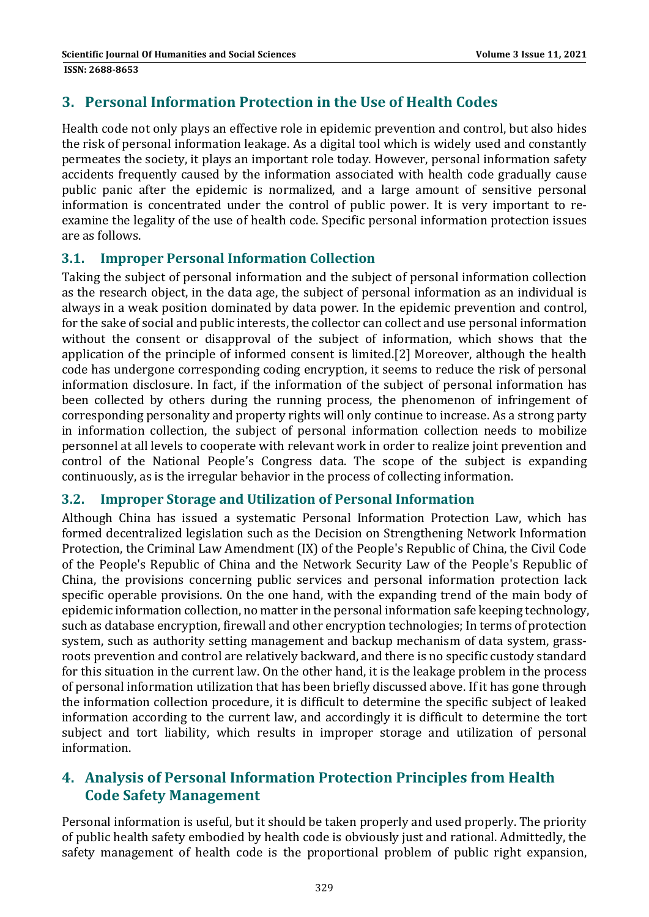## **3. Personal Information Protection in the Use of Health Codes**

Health code not only plays an effective role in epidemic prevention and control, but also hides the risk of personal information leakage. As a digital tool which is widely used and constantly permeates the society, it plays an important role today. However, personal information safety accidents frequently caused by the information associated with health code gradually cause public panic after the epidemic is normalized, and a large amount of sensitive personal information is concentrated under the control of public power. It is very important to reexamine the legality of the use of health code. Specific personal information protection issues are as follows.

### **3.1. Improper Personal Information Collection**

Taking the subject of personal information and the subject of personal information collection as the research object, in the data age, the subject of personal information as an individual is always in a weak position dominated by data power. In the epidemic prevention and control, for the sake of social and public interests, the collector can collect and use personal information without the consent or disapproval of the subject of information, which shows that the application of the principle of informed consent is limited.[2] Moreover, although the health code has undergone corresponding coding encryption, it seems to reduce the risk of personal information disclosure. In fact, if the information of the subject of personal information has been collected by others during the running process, the phenomenon of infringement of corresponding personality and property rights will only continue to increase. As a strong party in information collection, the subject of personal information collection needs to mobilize personnel at all levels to cooperate with relevant work in order to realize joint prevention and control of the National People's Congress data. The scope of the subject is expanding continuously, as is the irregular behavior in the process of collecting information.

#### **3.2. Improper Storage and Utilization of Personal Information**

Although China has issued a systematic Personal Information Protection Law, which has formed decentralized legislation such as the Decision on Strengthening Network Information Protection, the Criminal Law Amendment (IX) of the People's Republic of China, the Civil Code of the People's Republic of China and the Network Security Law of the People's Republic of China, the provisions concerning public services and personal information protection lack specific operable provisions. On the one hand, with the expanding trend of the main body of epidemic information collection, no matter in the personal information safe keeping technology, such as database encryption, firewall and other encryption technologies; In terms of protection system, such as authority setting management and backup mechanism of data system, grassroots prevention and control are relatively backward, and there is no specific custody standard for this situation in the current law. On the other hand, it is the leakage problem in the process of personal information utilization that has been briefly discussed above. If it has gone through the information collection procedure, it is difficult to determine the specific subject of leaked information according to the current law, and accordingly it is difficult to determine the tort subject and tort liability, which results in improper storage and utilization of personal information. 

# **4. Analysis of Personal Information Protection Principles from Health Code Safety Management**

Personal information is useful, but it should be taken properly and used properly. The priority of public health safety embodied by health code is obviously just and rational. Admittedly, the safety management of health code is the proportional problem of public right expansion,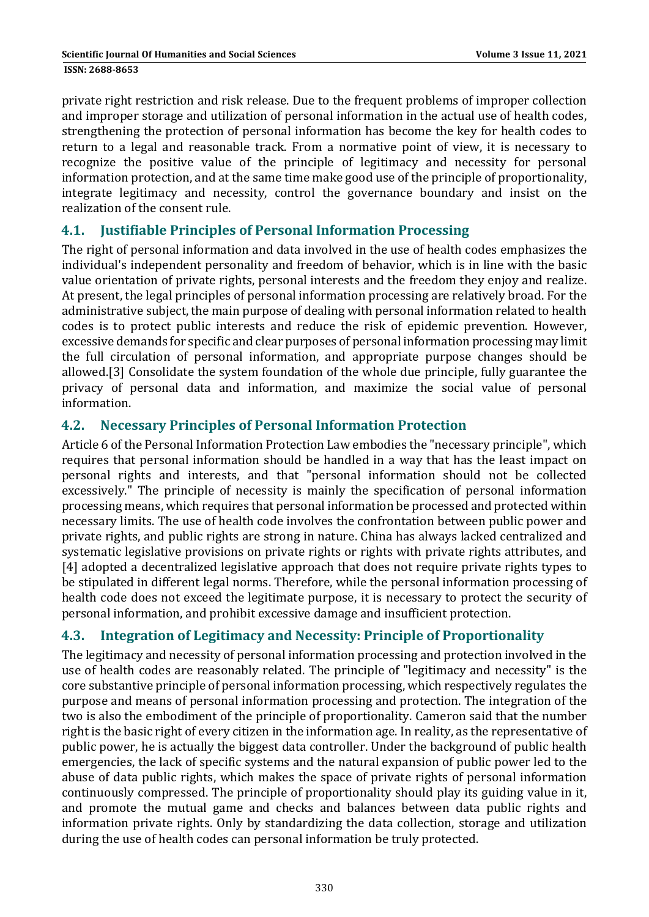private right restriction and risk release. Due to the frequent problems of improper collection and improper storage and utilization of personal information in the actual use of health codes, strengthening the protection of personal information has become the key for health codes to return to a legal and reasonable track. From a normative point of view, it is necessary to recognize the positive value of the principle of legitimacy and necessity for personal information protection, and at the same time make good use of the principle of proportionality, integrate legitimacy and necessity, control the governance boundary and insist on the realization of the consent rule.

#### **4.1. Justifiable Principles of Personal Information Processing**

The right of personal information and data involved in the use of health codes emphasizes the individual's independent personality and freedom of behavior, which is in line with the basic value orientation of private rights, personal interests and the freedom they enjoy and realize. At present, the legal principles of personal information processing are relatively broad. For the administrative subject, the main purpose of dealing with personal information related to health codes is to protect public interests and reduce the risk of epidemic prevention. However, excessive demands for specific and clear purposes of personal information processing may limit the full circulation of personal information, and appropriate purpose changes should be allowed.[3] Consolidate the system foundation of the whole due principle, fully guarantee the privacy of personal data and information, and maximize the social value of personal information. 

### **4.2. Necessary Principles of Personal Information Protection**

Article 6 of the Personal Information Protection Law embodies the "necessary principle", which requires that personal information should be handled in a way that has the least impact on personal rights and interests, and that "personal information should not be collected excessively." The principle of necessity is mainly the specification of personal information processing means, which requires that personal information be processed and protected within necessary limits. The use of health code involves the confrontation between public power and private rights, and public rights are strong in nature. China has always lacked centralized and systematic legislative provisions on private rights or rights with private rights attributes, and [4] adopted a decentralized legislative approach that does not require private rights types to be stipulated in different legal norms. Therefore, while the personal information processing of health code does not exceed the legitimate purpose, it is necessary to protect the security of personal information, and prohibit excessive damage and insufficient protection.

### **4.3. Integration of Legitimacy and Necessity: Principle of Proportionality**

The legitimacy and necessity of personal information processing and protection involved in the use of health codes are reasonably related. The principle of "legitimacy and necessity" is the core substantive principle of personal information processing, which respectively regulates the purpose and means of personal information processing and protection. The integration of the two is also the embodiment of the principle of proportionality. Cameron said that the number right is the basic right of every citizen in the information age. In reality, as the representative of public power, he is actually the biggest data controller. Under the background of public health emergencies, the lack of specific systems and the natural expansion of public power led to the abuse of data public rights, which makes the space of private rights of personal information continuously compressed. The principle of proportionality should play its guiding value in it, and promote the mutual game and checks and balances between data public rights and information private rights. Only by standardizing the data collection, storage and utilization during the use of health codes can personal information be truly protected.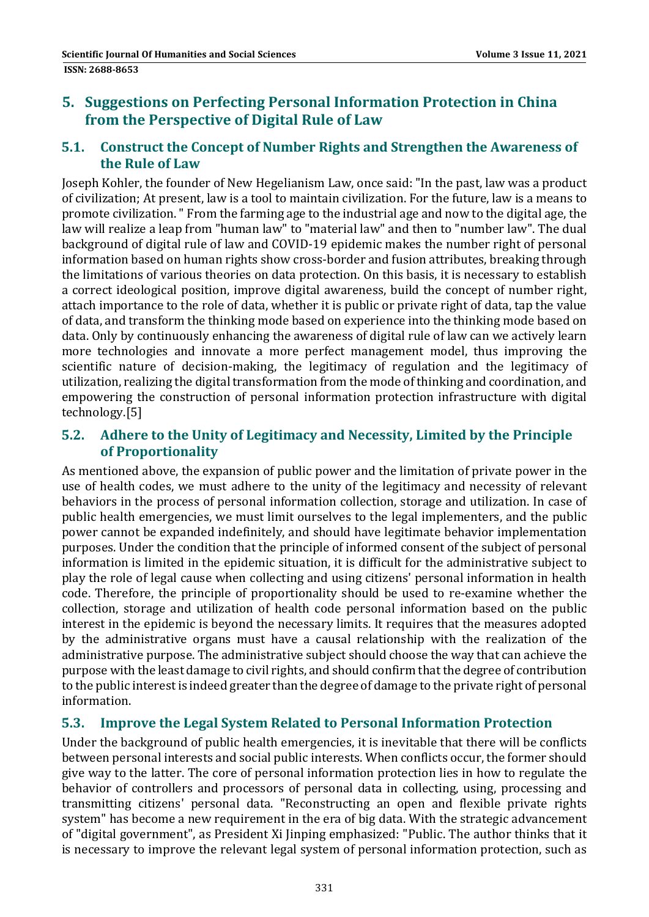## **5. Suggestions on Perfecting Personal Information Protection in China from the Perspective of Digital Rule of Law**

#### **5.1. Construct the Concept of Number Rights and Strengthen the Awareness of the Rule of Law**

Joseph Kohler, the founder of New Hegelianism Law, once said: "In the past, law was a product of civilization; At present, law is a tool to maintain civilization. For the future, law is a means to promote civilization. " From the farming age to the industrial age and now to the digital age, the law will realize a leap from "human law" to "material law" and then to "number law". The dual background of digital rule of law and COVID-19 epidemic makes the number right of personal information based on human rights show cross-border and fusion attributes, breaking through the limitations of various theories on data protection. On this basis, it is necessary to establish a correct ideological position, improve digital awareness, build the concept of number right, attach importance to the role of data, whether it is public or private right of data, tap the value of data, and transform the thinking mode based on experience into the thinking mode based on data. Only by continuously enhancing the awareness of digital rule of law can we actively learn more technologies and innovate a more perfect management model, thus improving the scientific nature of decision-making, the legitimacy of regulation and the legitimacy of utilization, realizing the digital transformation from the mode of thinking and coordination, and empowering the construction of personal information protection infrastructure with digital technology.[5] 

### **5.2. Adhere to the Unity of Legitimacy and Necessity, Limited by the Principle of Proportionality**

As mentioned above, the expansion of public power and the limitation of private power in the use of health codes, we must adhere to the unity of the legitimacy and necessity of relevant behaviors in the process of personal information collection, storage and utilization. In case of public health emergencies, we must limit ourselves to the legal implementers, and the public power cannot be expanded indefinitely, and should have legitimate behavior implementation purposes. Under the condition that the principle of informed consent of the subject of personal information is limited in the epidemic situation, it is difficult for the administrative subject to play the role of legal cause when collecting and using citizens' personal information in health code. Therefore, the principle of proportionality should be used to re-examine whether the collection, storage and utilization of health code personal information based on the public interest in the epidemic is beyond the necessary limits. It requires that the measures adopted by the administrative organs must have a causal relationship with the realization of the administrative purpose. The administrative subject should choose the way that can achieve the purpose with the least damage to civil rights, and should confirm that the degree of contribution to the public interest is indeed greater than the degree of damage to the private right of personal information. 

### **5.3. Improve the Legal System Related to Personal Information Protection**

Under the background of public health emergencies, it is inevitable that there will be conflicts between personal interests and social public interests. When conflicts occur, the former should give way to the latter. The core of personal information protection lies in how to regulate the behavior of controllers and processors of personal data in collecting, using, processing and transmitting citizens' personal data. "Reconstructing an open and flexible private rights system" has become a new requirement in the era of big data. With the strategic advancement of "digital government", as President Xi Jinping emphasized: "Public. The author thinks that it is necessary to improve the relevant legal system of personal information protection, such as